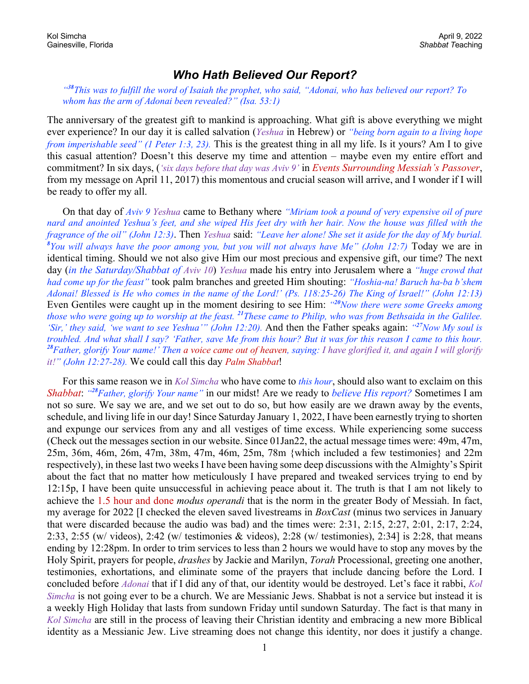## *Who Hath Believed Our Report?*

*"<sup>38</sup>This was to fulfill the word of Isaiah the prophet, who said, "Adonai, who has believed our report? To whom has the arm of Adonai been revealed?" (Isa. 53:1)*

The anniversary of the greatest gift to mankind is approaching. What gift is above everything we might ever experience? In our day it is called salvation (*Yeshua* in Hebrew) or *"being born again to a living hope from imperishable seed" (1 Peter 1:3, 23).* This is the greatest thing in all my life. Is it yours? Am I to give this casual attention? Doesn't this deserve my time and attention – maybe even my entire effort and commitment? In six days, (*'six days before that day was Aviv 9'* in *Events Surrounding Messiah's Passover*, from my message on April 11, 2017) this momentous and crucial season will arrive, and I wonder if I will be ready to offer my all.

On that day of *Aviv 9 Yeshua* came to Bethany where *"Miriam took a pound of very expensive oil of pure nard and anointed Yeshua's feet, and she wiped His feet dry with her hair. Now the house was filled with the fragrance of the oil" (John 12:3)*. Then *Yeshua* said: *"Leave her alone! She set it aside for the day of My burial. 8 You will always have the poor among you, but you will not always have Me" (John 12:7)* Today we are in identical timing. Should we not also give Him our most precious and expensive gift, our time? The next day (*in the Saturday/Shabbat of Aviv 10*) *Yeshua* made his entry into Jerusalem where a *"huge crowd that had come up for the feast"* took palm branches and greeted Him shouting: *"Hoshia-na! Baruch ha-ba b'shem Adonai! Blessed is He who comes in the name of the Lord!' (Ps. 118:25-26) The King of Israel!" (John 12:13)*  Even Gentiles were caught up in the moment desiring to see Him: *"<sup>20</sup>Now there were some Greeks among those who were going up to worship at the feast. <sup>21</sup>These came to Philip, who was from Bethsaida in the Galilee. 'Sir,' they said, 'we want to see Yeshua'" (John 12:20).* And then the Father speaks again: *"<sup>27</sup>Now My soul is troubled. And what shall I say? 'Father, save Me from this hour? But it was for this reason I came to this hour. <sup>28</sup>Father, glorify Your name!' Then a voice came out of heaven, saying: I have glorified it, and again I will glorify it!" (John 12:27-28).* We could call this day *Palm Shabbat*!

For this same reason we in *Kol Simcha* who have come to *this hour*, should also want to exclaim on this *Shabbat*: *"<sup>28</sup>Father, glorify Your name"* in our midst! Are we ready to *believe His report?* Sometimes I am not so sure. We say we are, and we set out to do so, but how easily are we drawn away by the events, schedule, and living life in our day! Since Saturday January 1, 2022, I have been earnestly trying to shorten and expunge our services from any and all vestiges of time excess. While experiencing some success (Check out the messages section in our website. Since 01Jan22, the actual message times were: 49m, 47m, 25m, 36m, 46m, 26m, 47m, 38m, 47m, 46m, 25m, 78m {which included a few testimonies} and 22m respectively), in these last two weeks I have been having some deep discussions with the Almighty's Spirit about the fact that no matter how meticulously I have prepared and tweaked services trying to end by 12:15p, I have been quite unsuccessful in achieving peace about it. The truth is that I am not likely to achieve the 1.5 hour and done *modus operandi* that is the norm in the greater Body of Messiah. In fact, my average for 2022 [I checked the eleven saved livestreams in *BoxCast* (minus two services in January that were discarded because the audio was bad) and the times were: 2:31, 2:15, 2:27, 2:01, 2:17, 2:24, 2:33, 2:55 (w/ videos), 2:42 (w/ testimonies & videos), 2:28 (w/ testimonies), 2:34] is 2:28, that means ending by 12:28pm. In order to trim services to less than 2 hours we would have to stop any moves by the Holy Spirit, prayers for people, *drashes* by Jackie and Marilyn, *Torah* Processional, greeting one another, testimonies, exhortations, and eliminate some of the prayers that include dancing before the Lord. I concluded before *Adonai* that if I did any of that, our identity would be destroyed. Let's face it rabbi, *Kol Simcha* is not going ever to be a church. We are Messianic Jews. Shabbat is not a service but instead it is a weekly High Holiday that lasts from sundown Friday until sundown Saturday. The fact is that many in *Kol Simcha* are still in the process of leaving their Christian identity and embracing a new more Biblical identity as a Messianic Jew. Live streaming does not change this identity, nor does it justify a change.